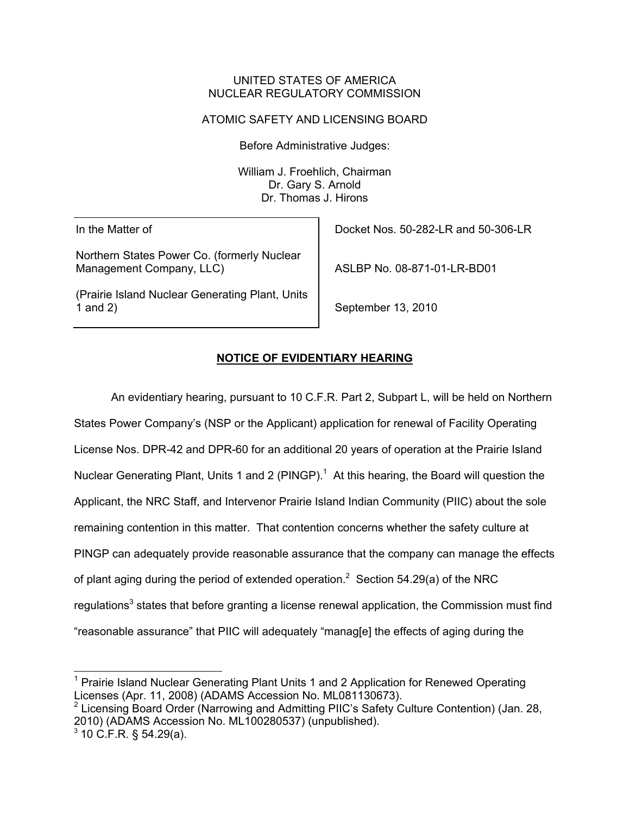#### UNITED STATES OF AMERICA NUCLEAR REGULATORY COMMISSION

## ATOMIC SAFETY AND LICENSING BOARD

Before Administrative Judges:

William J. Froehlich, Chairman Dr. Gary S. Arnold Dr. Thomas J. Hirons

In the Matter of

Northern States Power Co. (formerly Nuclear Management Company, LLC)

(Prairie Island Nuclear Generating Plant, Units 1 and 2)

Docket Nos. 50-282-LR and 50-306-LR

ASLBP No. 08-871-01-LR-BD01

September 13, 2010

# **NOTICE OF EVIDENTIARY HEARING**

An evidentiary hearing, pursuant to 10 C.F.R. Part 2, Subpart L, will be held on Northern States Power Company's (NSP or the Applicant) application for renewal of Facility Operating License Nos. DPR-42 and DPR-60 for an additional 20 years of operation at the Prairie Island Nuclear Generating Plant, Units 1 and 2 (PINGP).<sup>1</sup> At this hearing, the Board will question the Applicant, the NRC Staff, and Intervenor Prairie Island Indian Community (PIIC) about the sole remaining contention in this matter. That contention concerns whether the safety culture at PINGP can adequately provide reasonable assurance that the company can manage the effects of plant aging during the period of extended operation.<sup>2</sup> Section 54.29(a) of the NRC regulations<sup>3</sup> states that before granting a license renewal application, the Commission must find "reasonable assurance" that PIIC will adequately "manag[e] the effects of aging during the

l <sup>1</sup> Prairie Island Nuclear Generating Plant Units 1 and 2 Application for Renewed Operating Licenses (Apr. 11, 2008) (ADAMS Accession No. ML081130673).

<sup>&</sup>lt;sup>2</sup> Licensing Board Order (Narrowing and Admitting PIIC's Safety Culture Contention) (Jan. 28, 2010) (ADAMS Accession No. ML100280537) (unpublished).  $3$  10 C.F.R. § 54.29(a).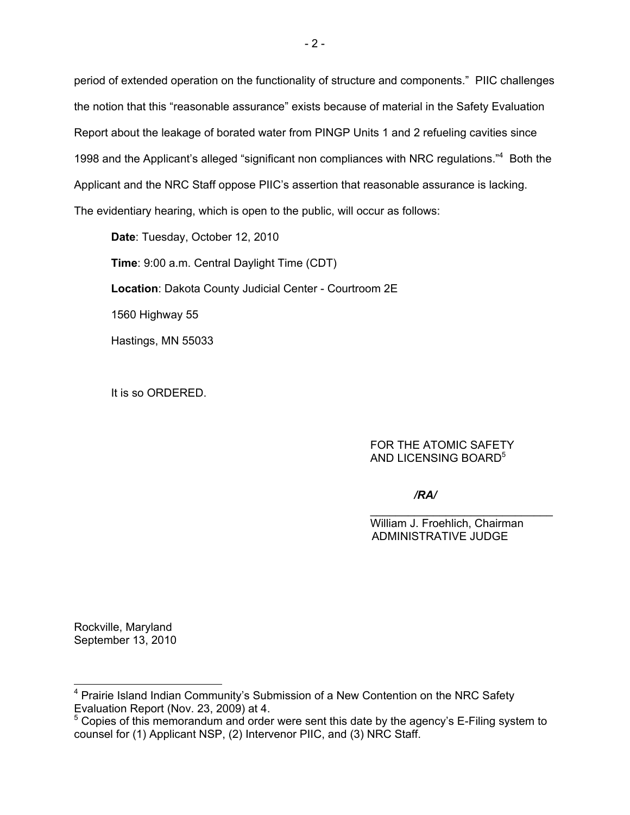period of extended operation on the functionality of structure and components." PIIC challenges the notion that this "reasonable assurance" exists because of material in the Safety Evaluation Report about the leakage of borated water from PINGP Units 1 and 2 refueling cavities since 1998 and the Applicant's alleged "significant non compliances with NRC regulations."<sup>4</sup> Both the Applicant and the NRC Staff oppose PIIC's assertion that reasonable assurance is lacking. The evidentiary hearing, which is open to the public, will occur as follows:

**Date**: Tuesday, October 12, 2010 **Time**: 9:00 a.m. Central Daylight Time (CDT) **Location**: Dakota County Judicial Center - Courtroom 2E 1560 Highway 55 Hastings, MN 55033

It is so ORDERED.

## FOR THE ATOMIC SAFETY AND LICENSING BOARD<sup>5</sup>

*/RA/*

 $\mathcal{L}_\mathcal{L} = \{ \mathcal{L}_\mathcal{L} = \{ \mathcal{L}_\mathcal{L} = \{ \mathcal{L}_\mathcal{L} = \{ \mathcal{L}_\mathcal{L} = \{ \mathcal{L}_\mathcal{L} = \{ \mathcal{L}_\mathcal{L} = \{ \mathcal{L}_\mathcal{L} = \{ \mathcal{L}_\mathcal{L} = \{ \mathcal{L}_\mathcal{L} = \{ \mathcal{L}_\mathcal{L} = \{ \mathcal{L}_\mathcal{L} = \{ \mathcal{L}_\mathcal{L} = \{ \mathcal{L}_\mathcal{L} = \{ \mathcal{L}_\mathcal{$  William J. Froehlich, Chairman ADMINISTRATIVE JUDGE

Rockville, Maryland September 13, 2010

l

<sup>&</sup>lt;sup>4</sup> Prairie Island Indian Community's Submission of a New Contention on the NRC Safety Evaluation Report (Nov. 23, 2009) at 4.

 $5$  Copies of this memorandum and order were sent this date by the agency's E-Filing system to counsel for (1) Applicant NSP, (2) Intervenor PIIC, and (3) NRC Staff.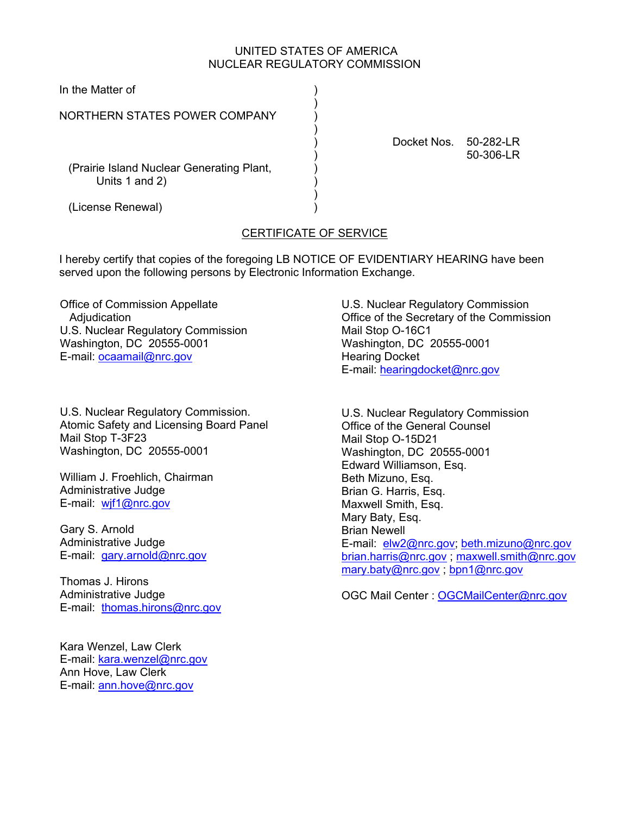## UNITED STATES OF AMERICA NUCLEAR REGULATORY COMMISSION

| In the Matter of                                            |             |                        |
|-------------------------------------------------------------|-------------|------------------------|
| NORTHERN STATES POWER COMPANY                               |             |                        |
|                                                             | Docket Nos. | 50-282-LR<br>50-306-LR |
| (Prairie Island Nuclear Generating Plant,<br>Units 1 and 2) |             |                        |
| (License Renewal)                                           |             |                        |

# CERTIFICATE OF SERVICE

I hereby certify that copies of the foregoing LB NOTICE OF EVIDENTIARY HEARING have been served upon the following persons by Electronic Information Exchange.

Office of Commission Appellate **Adjudication** U.S. Nuclear Regulatory Commission Washington, DC 20555-0001 E-mail: ocaamail@nrc.gov

U.S. Nuclear Regulatory Commission. Atomic Safety and Licensing Board Panel Mail Stop T-3F23 Washington, DC 20555-0001

William J. Froehlich, Chairman Administrative Judge E-mail: wif1@nrc.gov

Gary S. Arnold Administrative Judge E-mail: gary.arnold@nrc.gov

Thomas J. Hirons Administrative Judge E-mail: thomas.hirons@nrc.gov

Kara Wenzel, Law Clerk E-mail: kara.wenzel@nrc.gov Ann Hove, Law Clerk E-mail: ann.hove@nrc.gov

U.S. Nuclear Regulatory Commission Office of the Secretary of the Commission Mail Stop O-16C1 Washington, DC 20555-0001 Hearing Docket E-mail: hearingdocket@nrc.gov

U.S. Nuclear Regulatory Commission Office of the General Counsel Mail Stop O-15D21 Washington, DC 20555-0001 Edward Williamson, Esq. Beth Mizuno, Esq. Brian G. Harris, Esq. Maxwell Smith, Esq. Mary Baty, Esq. Brian Newell E-mail: elw2@nrc.gov; beth.mizuno@nrc.gov brian.harris@nrc.gov ; maxwell.smith@nrc.gov mary.baty@nrc.gov ; bpn1@nrc.gov

OGC Mail Center : OGCMailCenter@nrc.gov